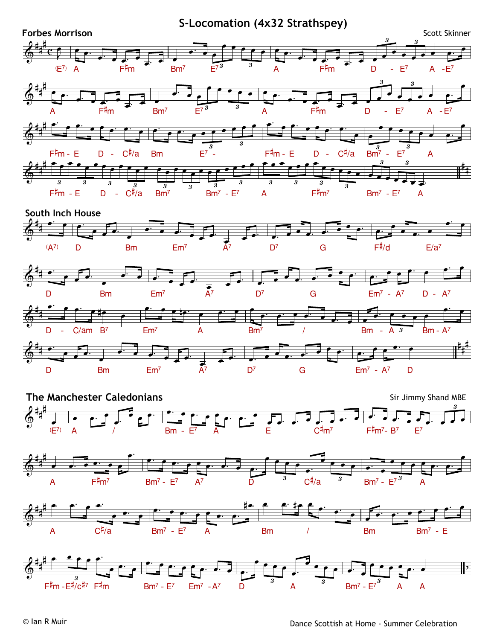**Forbes Morrison**  $(E<sup>7</sup>)$  A F<sup>#</sup>m Bm<sup>7</sup> **S-Locomation (4x32 Strathspey)**  $E^{7}$   $A$  F#m  $D$  -  $E^{7}$  A - $E^{7}$ A F#m Bm<sup>7</sup> E<sup>7</sup>  $^3$  A F#m D - E<sup>7</sup> A - E<sup>7</sup> F#m - E D - C#/a Bm E7 - F#m - E D - C#/a Bm7 - E7 A F#m - E D - C#/a Bm7 Bm7 - E7 A F#m7 Bm7 - E7 A **South Inch House** (A<sup>7)</sup> D Bm Em<sup>7</sup> A<sup>7</sup> D<sup>7</sup> G F<sup>#/</sup>d E/a<sup>7</sup> D Bm Em<sup>7</sup> A<sup>7</sup> D<sup>7</sup> G Em<sup>7</sup> - A<sup>7</sup> D - A<sup>7</sup> D - C/am B<sup>7</sup> Em<sup>7</sup> A Bm<sup>7</sup> / Bm - A 3 Bm - A<sup>7</sup>  $\oint^{\frac{\pi}{4}} c f$ #<sub>#</sub>#\_\_\_  $#$   $\mathbf{c}$   $\mathbf{f}$ #  $3 \qquad 3 \qquad \qquad \wedge$  $\frac{3}{3}$   $\frac{3}{3}$ Scott Skinner  $\overset{\frown}{\odot}$   $\overset{\frown}{\bullet}$   $\overset{\frown}{\bullet}$   $\overset{\frown}{\bullet}$   $\overset{\frown}{\bullet}$ #<sub>#</sub># \_\_ # # 3 3  $\frac{3}{3}$  3  $\circ$   $\overline{\bullet}$   $\overline{\phantom{0}}$  $\frac{1}{4}$   $\frac{1}{4}$ # # 3 3  $\overline{3}$ <br>Bm<sup>7</sup> - E<sup>7</sup> A  $\bigcirc$   $\overline{\qquad}$  $\frac{4\pi}{4}$ # # #  $\frac{1}{2}$  $\begin{array}{ccccccccccc}\n3 & 3 & 3 & \overline{3} & \overline{3} & \overline{3} & \overline{3} & \overline{3} & \overline{3} \\
\end{array}$  $3 \qquad 3 \qquad 3 \qquad 3 \qquad$ 3 3 3  $\circ$   $\bullet$   $\bullet$   $\bullet$ #  $\sharp$   $\overline{\phantom{a}}$  $\bigcirc$   $\qquad$   $\qquad$   $\qquad$   $\qquad$   $\qquad$   $\qquad$   $\qquad$   $\qquad$   $\qquad$   $\qquad$   $\qquad$   $\qquad$   $\qquad$   $\qquad$   $\qquad$   $\qquad$   $\qquad$   $\qquad$   $\qquad$   $\qquad$   $\qquad$   $\qquad$   $\qquad$   $\qquad$   $\qquad$   $\qquad$   $\qquad$   $\qquad$   $\qquad$   $\qquad$   $\qquad$   $\qquad$   $\qquad$   $\qquad$   $\qquad$   $\qquad$ # #  $\circ$   $\overline{\bullet}$   $\overline{\phantom{a}}$  $\frac{1}{4}$ # 3  $\bigcirc$   $\qquad$   $\qquad$   $\qquad$   $\qquad$   $\qquad$   $\qquad$   $\qquad$   $\qquad$   $\qquad$   $\qquad$   $\qquad$   $\qquad$   $\qquad$   $\qquad$   $\qquad$   $\qquad$   $\qquad$   $\qquad$   $\qquad$   $\qquad$   $\qquad$   $\qquad$   $\qquad$   $\qquad$   $\qquad$   $\qquad$   $\qquad$   $\qquad$   $\qquad$   $\qquad$   $\qquad$   $\qquad$   $\qquad$   $\qquad$   $\qquad$   $\qquad$ # # #<sub>#</sub>#  $\frac{H}{H}$  $\frac{4}{x}$  $\frac{1}{2}$  $\overline{\cdot}$   $\overline{\cdot}$  $\frac{1}{\frac{1}{\frac{1}{\frac{1}{\frac{1}{\cdots}}}}\frac{1}{\frac{1}{\frac{1}{\cdots}}}}$  $\frac{1}{e}$   $\frac{1}{e}$   $\frac{1}{2}$   $\frac{1}{2}$   $\frac{1}{2}$   $\frac{1}{2}$   $\frac{1}{2}$   $\frac{1}{2}$   $\frac{1}{2}$   $\frac{1}{2}$   $\frac{1}{2}$   $\frac{1}{2}$   $\frac{1}{2}$   $\frac{1}{2}$   $\frac{1}{2}$   $\frac{1}{2}$   $\frac{1}{2}$   $\frac{1}{2}$   $\frac{1}{2}$   $\frac{1}{2}$   $\frac{1}{2}$   $\frac{1}{2}$   $\cdot$   $\cdot$   $\cdot$   $\cdot$ <sup>Ï</sup> <sup>Ï</sup> <sup>Ï</sup> <sup>Ï</sup> <sup>Ï</sup> <sup>Ï</sup> <del>ï ∴ ï ï</del> Ï ™ Ï Ï  $\overline{\phantom{a}}$  .  $\cdot$  ,  $\overline{\phantom{a}}$  ,  $\cdot$  , . .  $\overline{\phantom{a}}$  $\frac{1}{\sqrt{1-\frac{1}{\sqrt{1-\frac{1}{\sqrt{1-\frac{1}{\sqrt{1-\frac{1}{\sqrt{1-\frac{1}{\sqrt{1-\frac{1}{\sqrt{1-\frac{1}{\sqrt{1-\frac{1}{\sqrt{1-\frac{1}{\sqrt{1-\frac{1}{\sqrt{1-\frac{1}{\sqrt{1-\frac{1}{\sqrt{1-\frac{1}{\sqrt{1-\frac{1}{\sqrt{1-\frac{1}{\sqrt{1-\frac{1}{\sqrt{1-\frac{1}{\sqrt{1-\frac{1}{\sqrt{1-\frac{1}{\sqrt{1-\frac{1}{\sqrt{1-\frac{1}{\sqrt{1-\frac{1}{\sqrt{1-\frac{1}{\sqrt{1-\frac{1$  $\overline{\cdot \cdot \cdot}$  $\cdot$   $\cdot$   $\cdot$   $\cdot$   $\cdot$   $\cdot$   $\cdot$  $\frac{1}{e}$   $\frac{1}{e}$   $\frac{1}{e}$   $\frac{1}{2}$   $\frac{1}{e}$   $\frac{1}{2}$   $\frac{1}{2}$   $\frac{1}{2}$   $\frac{1}{2}$   $\frac{1}{2}$   $\frac{1}{2}$   $\frac{1}{2}$   $\frac{1}{2}$   $\frac{1}{2}$   $\frac{1}{2}$   $\frac{1}{2}$   $\frac{1}{2}$   $\frac{1}{2}$   $\frac{1}{2}$   $\frac{1}{2}$   $\frac{1}{2}$   $\frac{1}{2}$   $\frac{1}{\sqrt{1-\frac{1}{\sqrt{1-\frac{1}{\sqrt{1-\frac{1}{\sqrt{1-\frac{1}{\sqrt{1-\frac{1}{\sqrt{1-\frac{1}{\sqrt{1-\frac{1}{\sqrt{1-\frac{1}{\sqrt{1-\frac{1}{\sqrt{1-\frac{1}{\sqrt{1-\frac{1}{\sqrt{1-\frac{1}{\sqrt{1-\frac{1}{\sqrt{1-\frac{1}{\sqrt{1-\frac{1}{\sqrt{1-\frac{1}{\sqrt{1-\frac{1}{\sqrt{1-\frac{1}{\sqrt{1-\frac{1}{\sqrt{1-\frac{1}{\sqrt{1-\frac{1}{\sqrt{1-\frac{1}{\sqrt{1-\frac{1}{\sqrt{1-\frac{1$ <sup>Ï</sup> <sup>Ï</sup> <sup>Ï</sup> <sup>Ï</sup> <sup>Ï</sup> <sup>Ï</sup>  $\cdot$   $\cdot$   $\cdot$   $\cdot$   $\cdot$   $\cdot$   $\cdot$ <del>. J J J ™</del><br>≉ ™ D ™ E  $\overline{\phantom{a}}$ Ï  $\overline{\cdot}$   $\overline{\cdot}$  $\overline{\phantom{a}}$  $\frac{1}{\sqrt{1-\frac{1}{\sqrt{1-\frac{1}{\sqrt{1-\frac{1}{\sqrt{1-\frac{1}{\sqrt{1-\frac{1}{\sqrt{1-\frac{1}{\sqrt{1-\frac{1}{\sqrt{1-\frac{1}{\sqrt{1-\frac{1}{\sqrt{1-\frac{1}{\sqrt{1-\frac{1}{\sqrt{1-\frac{1}{\sqrt{1-\frac{1}{\sqrt{1-\frac{1}{\sqrt{1-\frac{1}{\sqrt{1-\frac{1}{\sqrt{1-\frac{1}{\sqrt{1-\frac{1}{\sqrt{1-\frac{1}{\sqrt{1-\frac{1}{\sqrt{1-\frac{1}{\sqrt{1-\frac{1}{\sqrt{1-\frac{1}{\sqrt{1-\frac{1$ 。<br>. . . . . . . <sup>Ï</sup> ™ <sup>Ï</sup> ™ <sup>Ï</sup> <sup>Ï</sup> ™ <sup>Ï</sup> <sup>Ï</sup> ™ <sup>Ï</sup> <sup>Ï</sup> <sup>Ï</sup> <sup>Ï</sup> <sup>Ï</sup> <sup>Ï</sup> <sup>Ï</sup> <sup>Ï</sup> ™ <sup>Ï</sup> <sup>Ï</sup> ™ <sup>Ï</sup> <sup>Ï</sup>  $\frac{1}{\sqrt{2}}$  $\bullet$   $\bullet$   $\bullet$   $\bullet$   $\bullet$   $\bullet$   $\bullet$  $\frac{1}{\sqrt{1-\frac{1}{\sqrt{1-\frac{1}{\sqrt{1-\frac{1}{\sqrt{1-\frac{1}{\sqrt{1-\frac{1}{\sqrt{1-\frac{1}{\sqrt{1-\frac{1}{\sqrt{1-\frac{1}{\sqrt{1-\frac{1}{\sqrt{1-\frac{1}{\sqrt{1-\frac{1}{\sqrt{1-\frac{1}{\sqrt{1-\frac{1}{\sqrt{1-\frac{1}{\sqrt{1-\frac{1}{\sqrt{1-\frac{1}{\sqrt{1-\frac{1}{\sqrt{1-\frac{1}{\sqrt{1-\frac{1}{\sqrt{1-\frac{1}{\sqrt{1-\frac{1}{\sqrt{1-\frac{1}{\sqrt{1-\frac{1}{\sqrt{1-\frac{1$  $\frac{1}{\sqrt{2}}$  $\frac{1}{\sqrt{1-\frac{1}{\sqrt{1-\frac{1}{\sqrt{1-\frac{1}{\sqrt{1-\frac{1}{\sqrt{1-\frac{1}{\sqrt{1-\frac{1}{\sqrt{1-\frac{1}{\sqrt{1-\frac{1}{\sqrt{1-\frac{1}{\sqrt{1-\frac{1}{\sqrt{1-\frac{1}{\sqrt{1-\frac{1}{\sqrt{1-\frac{1}{\sqrt{1-\frac{1}{\sqrt{1-\frac{1}{\sqrt{1-\frac{1}{\sqrt{1-\frac{1}{\sqrt{1-\frac{1}{\sqrt{1-\frac{1}{\sqrt{1-\frac{1}{\sqrt{1-\frac{1}{\sqrt{1-\frac{1}{\sqrt{1-\frac{1}{\sqrt{1-\frac{1$  $\frac{1}{\sqrt{2}}$  $\ddot{\phantom{0}}$  $\cdot$   $\cdot$   $\cdot$  $\overline{\phantom{a}}$  $\overline{\phantom{a}}$  $\cdot$   $\cdot$   $\cdot$   $\cdot$  $\overline{\phantom{a}}$  $\ddot{\phantom{a}}$  $\overline{\phantom{a}}$ \_<br>, , , , , <u>, , , , , ,</u> Ï Ï Ï Ï  $\frac{1}{\sqrt{2}}$   $\frac{1}{\sqrt{2}}$   $\frac{3}{\sqrt{2}}$   $\frac{3}{\sqrt{2}}$  $\frac{1}{\sqrt{1-\frac{1}{\sqrt{1-\frac{1}{\sqrt{1-\frac{1}{\sqrt{1-\frac{1}{\sqrt{1-\frac{1}{\sqrt{1-\frac{1}{\sqrt{1-\frac{1}{\sqrt{1-\frac{1}{\sqrt{1-\frac{1}{\sqrt{1-\frac{1}{\sqrt{1-\frac{1}{\sqrt{1-\frac{1}{\sqrt{1-\frac{1}{\sqrt{1-\frac{1}{\sqrt{1-\frac{1}{\sqrt{1-\frac{1}{\sqrt{1-\frac{1}{\sqrt{1-\frac{1}{\sqrt{1-\frac{1}{\sqrt{1-\frac{1}{\sqrt{1-\frac{1}{\sqrt{1-\frac{1}{\sqrt{1-\frac{1}{\sqrt{1-\frac{1$  $\overrightarrow{y}$  $\frac{1}{\sqrt{1-\frac{1}{\sqrt{1-\frac{1}{\sqrt{1-\frac{1}{\sqrt{1-\frac{1}{\sqrt{1-\frac{1}{\sqrt{1-\frac{1}{\sqrt{1-\frac{1}{\sqrt{1-\frac{1}{\sqrt{1-\frac{1}{\sqrt{1-\frac{1}{\sqrt{1-\frac{1}{\sqrt{1-\frac{1}{\sqrt{1-\frac{1}{\sqrt{1-\frac{1}{\sqrt{1-\frac{1}{\sqrt{1-\frac{1}{\sqrt{1-\frac{1}{\sqrt{1-\frac{1}{\sqrt{1-\frac{1}{\sqrt{1-\frac{1}{\sqrt{1-\frac{1}{\sqrt{1-\frac{1}{\sqrt{1-\frac{1}{\sqrt{1-\frac{1$  $\sum_{i=1}^{n}$  $\overrightarrow{e}$  $\frac{1}{\sqrt{1}}$  $\overline{\phantom{a}}$ Ï ™ Ï ™ Ï  $\overline{\cdot}$ .  $\frac{1}{\sqrt{1-\frac{1}{\sqrt{1-\frac{1}{\sqrt{1-\frac{1}{\sqrt{1-\frac{1}{\sqrt{1-\frac{1}{\sqrt{1-\frac{1}{\sqrt{1-\frac{1}{\sqrt{1-\frac{1}{\sqrt{1-\frac{1}{\sqrt{1-\frac{1}{\sqrt{1-\frac{1}{\sqrt{1-\frac{1}{\sqrt{1-\frac{1}{\sqrt{1-\frac{1}{\sqrt{1-\frac{1}{\sqrt{1-\frac{1}{\sqrt{1-\frac{1}{\sqrt{1-\frac{1}{\sqrt{1-\frac{1}{\sqrt{1-\frac{1}{\sqrt{1-\frac{1}{\sqrt{1-\frac{1}{\sqrt{1-\frac{1}{\sqrt{1-\frac{1$  $\overline{\cdot}$   $\overline{\cdot}$   $\overline{\cdot}$  $\cdot$   $\cdot$   $\cdot$   $\cdot$   $\cdot$  $\overrightarrow{J}$ . <u>J</u> → Ï →  $\frac{1}{\sqrt{2}}$  $\cdot$   $\cdot$   $\cdot$  $\overrightarrow{y}$  $\frac{1}{\sqrt{1-\frac{1}{\sqrt{1-\frac{1}{\sqrt{1-\frac{1}{\sqrt{1-\frac{1}{\sqrt{1-\frac{1}{\sqrt{1-\frac{1}{\sqrt{1-\frac{1}{\sqrt{1-\frac{1}{\sqrt{1-\frac{1}{\sqrt{1-\frac{1}{\sqrt{1-\frac{1}{\sqrt{1-\frac{1}{\sqrt{1-\frac{1}{\sqrt{1-\frac{1}{\sqrt{1-\frac{1}{\sqrt{1-\frac{1}{\sqrt{1-\frac{1}{\sqrt{1-\frac{1}{\sqrt{1-\frac{1}{\sqrt{1-\frac{1}{\sqrt{1-\frac{1}{\sqrt{1-\frac{1}{\sqrt{1-\frac{1}{\sqrt{1-\frac{1$  $\frac{1}{\frac{1}{\frac{1}{\sqrt{1-\frac{1}{\sqrt{1-\frac{1}{\sqrt{1-\frac{1}{\sqrt{1-\frac{1}{\sqrt{1-\frac{1}{\sqrt{1-\frac{1}{\sqrt{1-\frac{1}{\sqrt{1-\frac{1}{\sqrt{1-\frac{1}{\sqrt{1-\frac{1}{\sqrt{1-\frac{1}{\sqrt{1-\frac{1}{\sqrt{1-\frac{1}{\sqrt{1-\frac{1}{\sqrt{1-\frac{1}{\sqrt{1-\frac{1}{\sqrt{1-\frac{1}{\sqrt{1-\frac{1}{\sqrt{1-\frac{1}{\sqrt{1-\frac{1}{\sqrt{1-\frac{1}{\sqrt{1-\frac{1}{\sqrt{1-\frac{$  $\overline{\cdot}$   $\overline{\cdot}$  $\frac{1}{\sqrt{2}}$  $\overline{\phantom{a}}$  $\bullet$   $\bullet$   $\bullet$   $\bullet$   $\bullet$  $\frac{1}{\sqrt{1-\frac{1}{2}}}$  $\overline{a}$   $\overline{a}$   $\overline{a}$   $\overline{a}$   $\overline{a}$  $\bullet$   $\overline{\bullet}$ **₽ ï** ₹ Î Î Ï  $\cdot$   $\cdot$   $\cdot$  $\bullet$   $\bullet$   $\bullet$ <sup>Ï</sup> ™ <sup>Ï</sup> <sup>Ï</sup> ™ <sup>Ï</sup> #Ï Ï <sup>Ï</sup> ™ <sup>Ï</sup> <sup>Ï</sup> nÏ ™ <sup>Ï</sup> <sup>Ï</sup> ™ <sup>Ï</sup> <sup>Ï</sup> <del>. . . . . . . .</del>  $\overline{\phantom{a}}$  $\frac{1}{\alpha}$   $\frac{1}{\alpha}$   $\frac{1}{\alpha}$   $\frac{1}{\alpha}$   $\frac{1}{\alpha}$  $\bullet$   $\bullet$   $\bullet$  $\cdot$   $\cdot$   $\cdot$  $\overrightarrow{ }$  $\frac{1}{\sqrt{1-\frac{1}{\sqrt{1-\frac{1}{\sqrt{1-\frac{1}{\sqrt{1-\frac{1}{\sqrt{1-\frac{1}{\sqrt{1-\frac{1}{\sqrt{1-\frac{1}{\sqrt{1-\frac{1}{\sqrt{1-\frac{1}{\sqrt{1-\frac{1}{\sqrt{1-\frac{1}{\sqrt{1-\frac{1}{\sqrt{1-\frac{1}{\sqrt{1-\frac{1}{\sqrt{1-\frac{1}{\sqrt{1-\frac{1}{\sqrt{1-\frac{1}{\sqrt{1-\frac{1}{\sqrt{1-\frac{1}{\sqrt{1-\frac{1}{\sqrt{1-\frac{1}{\sqrt{1-\frac{1}{\sqrt{1-\frac{1}{\sqrt{1-\frac{1$  $\begin{array}{ccc} \overline{1} & \overline{1} & \overline{1} & \overline{1} \\ \overline{1} & \overline{1} & \overline{1} & \overline{1} \\ \overline{1} & \overline{1} & \overline{1} & \overline{1} \\ \overline{1} & \overline{1} & \overline{1} & \overline{1} \\ \overline{1} & \overline{1} & \overline{1} & \overline{1} \\ \overline{1} & \overline{1} & \overline{1} & \overline{1} \\ \overline{1} & \overline{1} & \overline{1} & \overline{1} \\ \overline{1} & \overline{1} & \overline$  $\overrightarrow{ }$  $\frac{1}{\sqrt{1-\frac{1}{2}}}$  $\overline{\phantom{a}}$ Ï ™ Ï ™ Ï  $\overline{\cdot}$ .  $\frac{1}{\alpha}$   $\frac{1}{\alpha}$   $\frac{1}{\alpha}$  $\bullet$   $\bullet$ Ï ™ Ï ™ Ï Ï  $\cdot$   $\cdot$ 



D Bm Em7 A7 D7 G Em7 - A7 D